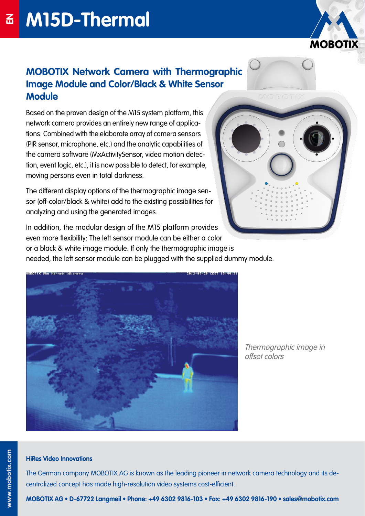

# **MOBOTIX Network Camera with Thermographic Image Module and Color/Black & White Sensor Module**

Based on the proven design of the M15 system platform, this network camera provides an entirely new range of applications. Combined with the elaborate array of camera sensors (PIR sensor, microphone, etc.) and the analytic capabilities of the camera software (MxActivitySensor, video motion detection, event logic, etc.), it is now possible to detect, for example, moving persons even in total darkness.

The different display options of the thermographic image sensor (off-color/black & white) add to the existing possibilities for analyzing and using the generated images.

In addition, the modular design of the M15 platform provides even more flexibility: The left sensor module can be either a color or a black & white image module. If only the thermographic image is needed, the left sensor module can be plugged with the supplied dummy module.



Thermographic image in offset colors

#### **HiRes Video Innovations**

The German company MOBOTIX AG is known as the leading pioneer in network camera technology and its decentralized concept has made high-resolution video systems cost-efficient.

**MOBOTIX AG • D-67722 Langmeil • Phone: +49 6302 9816-103 • Fax: +49 6302 9816-190 • sales@mobotix.com**

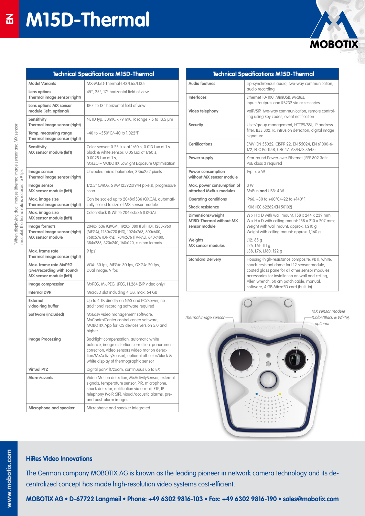

| <b>Technical Specifications M15D-Thermal</b>                  |                                                                                                                                                                                                                                                                                               |  |
|---------------------------------------------------------------|-----------------------------------------------------------------------------------------------------------------------------------------------------------------------------------------------------------------------------------------------------------------------------------------------|--|
| <b>Audio features</b>                                         | Lip-synchronous audio, two-way communication,<br>audio recording                                                                                                                                                                                                                              |  |
| Interfaces                                                    | Ethernet 10/100, MiniUSB, MxBus;<br>inputs/outputs and RS232 via accessories                                                                                                                                                                                                                  |  |
| Video telephony                                               | VoIP/SIP, two-way communication, remote control-<br>ling using key codes, event notification                                                                                                                                                                                                  |  |
| <b>Security</b>                                               | User/group management, HTTPS/SSL, IP address<br>filter, IEEE 802.1x, intrusion detection, digital image<br>signature                                                                                                                                                                          |  |
| Certifications                                                | EMV (EN 55022, CISPR 22, EN 55024, EN 61000-6-<br>1/2, FCC Part15B, CFR 47, AS/NZS 3548)                                                                                                                                                                                                      |  |
| Power supply                                                  | Year-round Power-over-Ethernet (IEEE 802.3af):<br>PoE class 3 reauired                                                                                                                                                                                                                        |  |
| Power consumption<br>without MX sensor module                 | Typ. $<$ 5 W                                                                                                                                                                                                                                                                                  |  |
| Max. power consumption of<br>attached MxBus modules           | 3 W<br>MxBus and USB: 4 W                                                                                                                                                                                                                                                                     |  |
| <b>Operating conditions</b>                                   | IP66, -30 to +60°C/-22 to +140°F                                                                                                                                                                                                                                                              |  |
| <b>Shock resistance</b>                                       | IK06 (IEC 62262/EN 50102)                                                                                                                                                                                                                                                                     |  |
| Dimensions/weight<br>M15D-Thermal without MX<br>sensor module | $W \times H \times D$ with wall mount: 158 $\times$ 244 $\times$ 239 mm:<br>$W \times H \times D$ with ceiling mount: 158 x 210 x 207 mm;<br>Weight with wall mount: approx. 1,210 g<br>Weight with ceiling mount: approx. 1,160 g                                                            |  |
| <b>Weights</b><br><b>MX</b> sensor modules                    | L12: 85q<br>L25, L51: 111 g<br>L38, L76, L160: 122 g                                                                                                                                                                                                                                          |  |
| <b>Standard Delivery</b>                                      | Housing (high-resistance composite, PBT), white,<br>shock-resistant dome for L12 sensor module.<br>coated glass pane for all other sensor modules,<br>accessories for installation on wall and ceiling,<br>Allen wrench, 50 cm patch cable, manual,<br>software, 4 GB MicroSD card (built-in) |  |



**HiRes Video Innovations**

The German company MOBOTIX AG is known as the leading pioneer in network camera technology and its decentralized concept has made high-resolution video systems cost-efficient.

**MOBOTIX AG • D-67722 Langmeil • Phone: +49 6302 9816-103 • Fax: +49 6302 9816-190 • sales@mobotix.com**